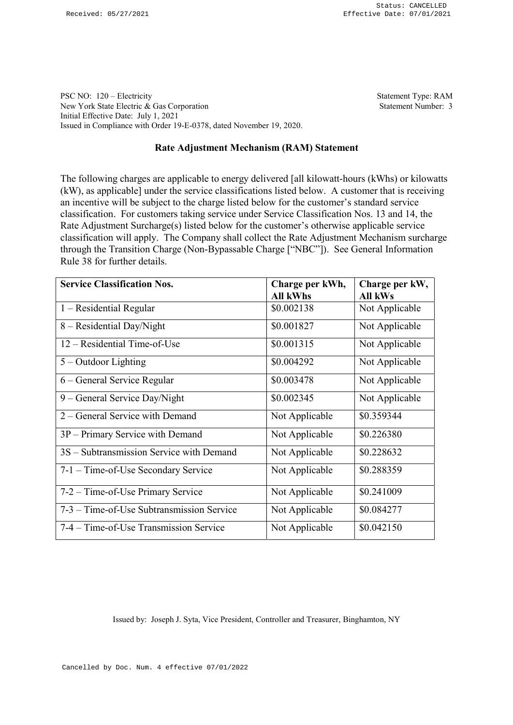PSC NO: 120 – Electricity Statement Type: RAM New York State Electric & Gas Corporation Statement Number: 3 Initial Effective Date: July 1, 2021 Issued in Compliance with Order 19-E-0378, dated November 19, 2020.

## Rate Adjustment Mechanism (RAM) Statement

The following charges are applicable to energy delivered [all kilowatt-hours (kWhs) or kilowatts (kW), as applicable] under the service classifications listed below. A customer that is receiving an incentive will be subject to the charge listed below for the customer's standard service classification. For customers taking service under Service Classification Nos. 13 and 14, the Rate Adjustment Surcharge(s) listed below for the customer's otherwise applicable service classification will apply. The Company shall collect the Rate Adjustment Mechanism surcharge through the Transition Charge (Non-Bypassable Charge ["NBC"]). See General Information Rule 38 for further details.

| <b>Service Classification Nos.</b>        | Charge per kWh, | Charge per kW, |
|-------------------------------------------|-----------------|----------------|
|                                           | <b>All kWhs</b> | All kWs        |
| $1 - Residental Regular$                  | \$0.002138      | Not Applicable |
| 8 – Residential Day/Night                 | \$0.001827      | Not Applicable |
| 12 – Residential Time-of-Use              | \$0.001315      | Not Applicable |
| $5 -$ Outdoor Lighting                    | \$0.004292      | Not Applicable |
| 6 – General Service Regular               | \$0.003478      | Not Applicable |
| 9 – General Service Day/Night             | \$0.002345      | Not Applicable |
| 2 – General Service with Demand           | Not Applicable  | \$0.359344     |
| 3P - Primary Service with Demand          | Not Applicable  | \$0.226380     |
| 3S - Subtransmission Service with Demand  | Not Applicable  | \$0.228632     |
| 7-1 – Time-of-Use Secondary Service       | Not Applicable  | \$0.288359     |
| 7-2 – Time-of-Use Primary Service         | Not Applicable  | \$0.241009     |
| 7-3 – Time-of-Use Subtransmission Service | Not Applicable  | \$0.084277     |
| 7-4 – Time-of-Use Transmission Service    | Not Applicable  | \$0.042150     |

Issued by: Joseph J. Syta, Vice President, Controller and Treasurer, Binghamton, NY